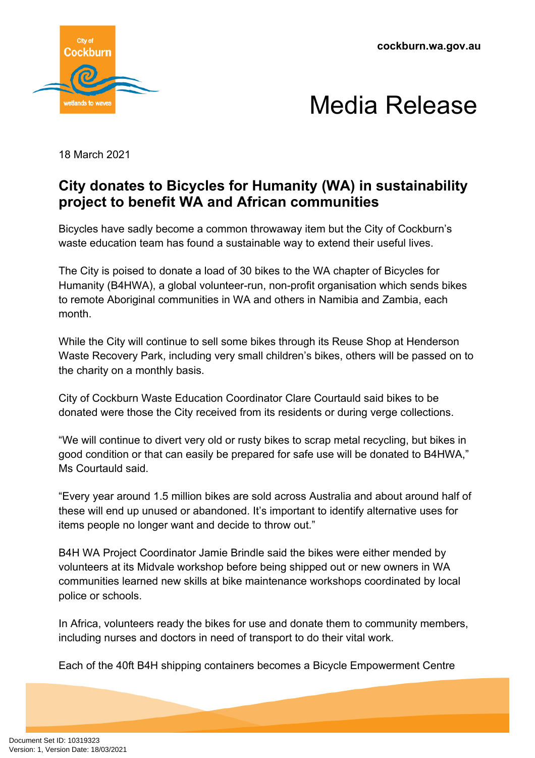



18 March 2021

## **City donates to Bicycles for Humanity (WA) in sustainability project to benefit WA and African communities**

Bicycles have sadly become a common throwaway item but the City of Cockburn's waste education team has found a sustainable way to extend their useful lives.

The City is poised to donate a load of 30 bikes to the WA chapter of Bicycles for Humanity (B4HWA), a global volunteer-run, non-profit organisation which sends bikes to remote Aboriginal communities in WA and others in Namibia and Zambia, each month.

While the City will continue to sell some bikes through its Reuse Shop at Henderson Waste Recovery Park, including very small children's bikes, others will be passed on to the charity on a monthly basis.

City of Cockburn Waste Education Coordinator Clare Courtauld said bikes to be donated were those the City received from its residents or during verge collections.

"We will continue to divert very old or rusty bikes to scrap metal recycling, but bikes in good condition or that can easily be prepared for safe use will be donated to B4HWA," Ms Courtauld said.

"Every year around 1.5 million bikes are sold across Australia and about around half of these will end up unused or abandoned. It's important to identify alternative uses for items people no longer want and decide to throw out."

B4H WA Project Coordinator Jamie Brindle said the bikes were either mended by volunteers at its Midvale workshop before being shipped out or new owners in WA communities learned new skills at bike maintenance workshops coordinated by local police or schools.

In Africa, volunteers ready the bikes for use and donate them to community members, including nurses and doctors in need of transport to do their vital work.

Each of the 40ft B4H shipping containers becomes a Bicycle Empowerment Centre